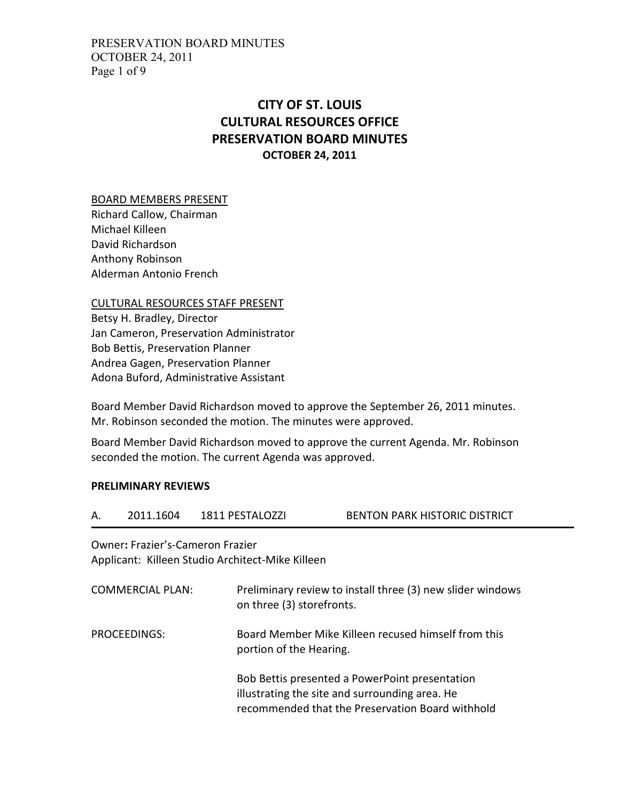PRESERVATION BOARD MINUTES OCTOBER 24, 2011 Page 1 of 9

# CITY OF ST. LOUIS CULTURAL RESOURCES OFFICE PRESERVATION BOARD MINUTES OCTOBER 24, 2011

#### BOARD MEMBERS PRESENT

Richard Callow, Chairman Michael Killeen David Richardson Anthony Robinson Alderman Antonio French

#### CULTURAL RESOURCES STAFF PRESENT

Betsy H. Bradley, Director Jan Cameron, Preservation Administrator Bob Bettis, Preservation Planner Andrea Gagen, Preservation Planner Adona Buford, Administrative Assistant

Board Member David Richardson moved to approve the September 26, 2011 minutes. Mr. Robinson seconded the motion. The minutes were approved.

Board Member David Richardson moved to approve the current Agenda. Mr. Robinson seconded the motion. The current Agenda was approved.

#### PRELIMINARY REVIEWS

| А. | 2011.1604 | 1811 PESTALOZZI | <b>BENTON PARK HISTORIC DISTRICT</b> |
|----|-----------|-----------------|--------------------------------------|
|    |           |                 |                                      |

Owner: Frazier's-Cameron Frazier Applicant: Killeen Studio Architect-Mike Killeen

| <b>COMMERCIAL PLAN:</b> | Preliminary review to install three (3) new slider windows<br>on three (3) storefronts.                                                              |
|-------------------------|------------------------------------------------------------------------------------------------------------------------------------------------------|
| PROCEEDINGS:            | Board Member Mike Killeen recused himself from this<br>portion of the Hearing.                                                                       |
|                         | Bob Bettis presented a PowerPoint presentation<br>illustrating the site and surrounding area. He<br>recommended that the Preservation Board withhold |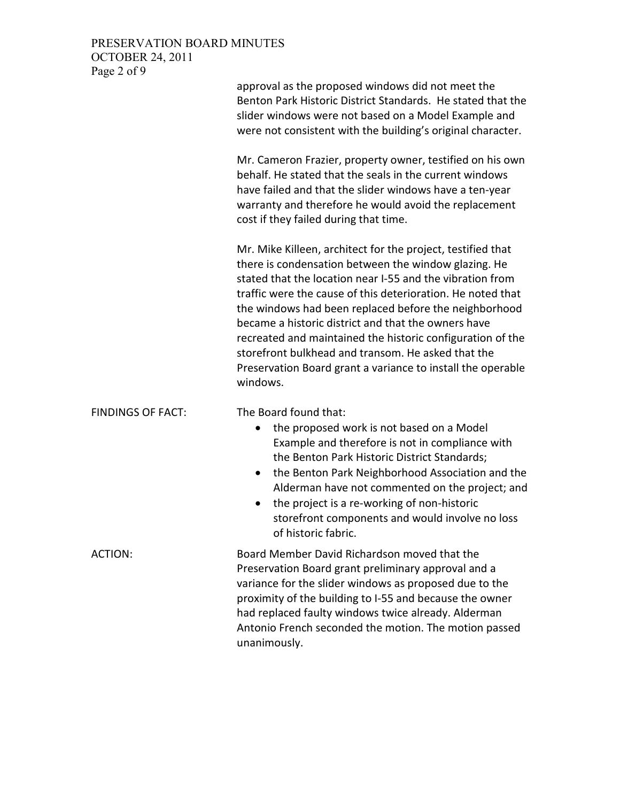## PRESERVATION BOARD MINUTES OCTOBER 24, 2011 Page 2 of 9

|                          | approval as the proposed windows did not meet the<br>Benton Park Historic District Standards. He stated that the<br>slider windows were not based on a Model Example and<br>were not consistent with the building's original character.                                                                                                                                                                                                                                                                                                                        |
|--------------------------|----------------------------------------------------------------------------------------------------------------------------------------------------------------------------------------------------------------------------------------------------------------------------------------------------------------------------------------------------------------------------------------------------------------------------------------------------------------------------------------------------------------------------------------------------------------|
|                          | Mr. Cameron Frazier, property owner, testified on his own<br>behalf. He stated that the seals in the current windows<br>have failed and that the slider windows have a ten-year<br>warranty and therefore he would avoid the replacement<br>cost if they failed during that time.                                                                                                                                                                                                                                                                              |
|                          | Mr. Mike Killeen, architect for the project, testified that<br>there is condensation between the window glazing. He<br>stated that the location near I-55 and the vibration from<br>traffic were the cause of this deterioration. He noted that<br>the windows had been replaced before the neighborhood<br>became a historic district and that the owners have<br>recreated and maintained the historic configuration of the<br>storefront bulkhead and transom. He asked that the<br>Preservation Board grant a variance to install the operable<br>windows. |
| <b>FINDINGS OF FACT:</b> | The Board found that:<br>the proposed work is not based on a Model<br>$\bullet$<br>Example and therefore is not in compliance with<br>the Benton Park Historic District Standards;<br>the Benton Park Neighborhood Association and the<br>Alderman have not commented on the project; and<br>the project is a re-working of non-historic<br>٠<br>storefront components and would involve no loss<br>of historic fabric.                                                                                                                                        |
| ACTION:                  | Board Member David Richardson moved that the<br>Preservation Board grant preliminary approval and a<br>variance for the slider windows as proposed due to the<br>proximity of the building to I-55 and because the owner<br>had replaced faulty windows twice already. Alderman<br>Antonio French seconded the motion. The motion passed                                                                                                                                                                                                                       |

unanimously.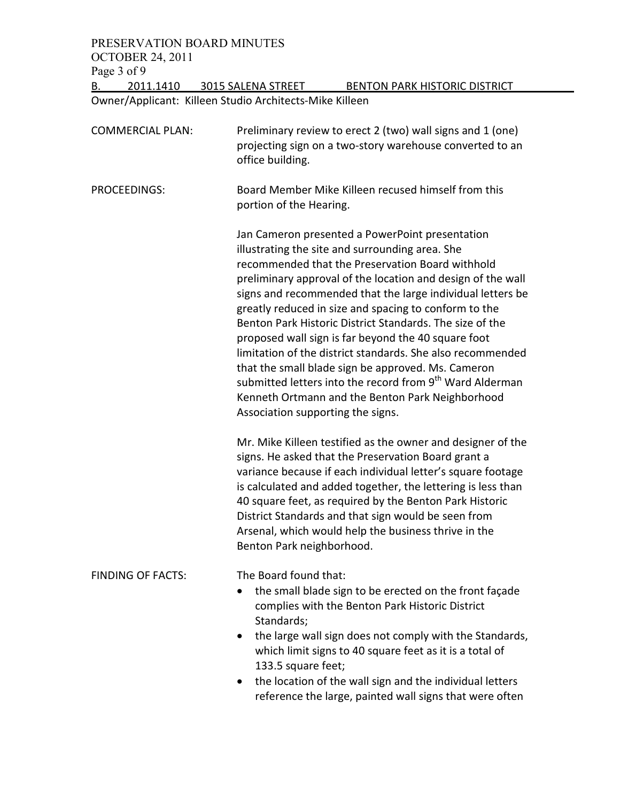PRESERVATION BOARD MINUTES OCTOBER 24, 2011 Page 3 of 9<br>B. 2011

2011.1410 3015 SALENA STREET BENTON PARK HISTORIC DISTRICT

Owner/Applicant: Killeen Studio Architects-Mike Killeen

| <b>COMMERCIAL PLAN:</b>  | Preliminary review to erect 2 (two) wall signs and 1 (one)<br>projecting sign on a two-story warehouse converted to an<br>office building.                                                                                                                                                                                                                                                                                                                                                                                                                                                                                                                                                                                                           |
|--------------------------|------------------------------------------------------------------------------------------------------------------------------------------------------------------------------------------------------------------------------------------------------------------------------------------------------------------------------------------------------------------------------------------------------------------------------------------------------------------------------------------------------------------------------------------------------------------------------------------------------------------------------------------------------------------------------------------------------------------------------------------------------|
| PROCEEDINGS:             | Board Member Mike Killeen recused himself from this<br>portion of the Hearing.                                                                                                                                                                                                                                                                                                                                                                                                                                                                                                                                                                                                                                                                       |
|                          | Jan Cameron presented a PowerPoint presentation<br>illustrating the site and surrounding area. She<br>recommended that the Preservation Board withhold<br>preliminary approval of the location and design of the wall<br>signs and recommended that the large individual letters be<br>greatly reduced in size and spacing to conform to the<br>Benton Park Historic District Standards. The size of the<br>proposed wall sign is far beyond the 40 square foot<br>limitation of the district standards. She also recommended<br>that the small blade sign be approved. Ms. Cameron<br>submitted letters into the record from 9 <sup>th</sup> Ward Alderman<br>Kenneth Ortmann and the Benton Park Neighborhood<br>Association supporting the signs. |
|                          | Mr. Mike Killeen testified as the owner and designer of the<br>signs. He asked that the Preservation Board grant a<br>variance because if each individual letter's square footage<br>is calculated and added together, the lettering is less than<br>40 square feet, as required by the Benton Park Historic<br>District Standards and that sign would be seen from<br>Arsenal, which would help the business thrive in the<br>Benton Park neighborhood.                                                                                                                                                                                                                                                                                             |
| <b>FINDING OF FACTS:</b> | The Board found that:<br>the small blade sign to be erected on the front façade<br>complies with the Benton Park Historic District<br>Standards;<br>the large wall sign does not comply with the Standards,<br>which limit signs to 40 square feet as it is a total of<br>133.5 square feet;<br>the location of the wall sign and the individual letters<br>$\bullet$<br>reference the large, painted wall signs that were often                                                                                                                                                                                                                                                                                                                     |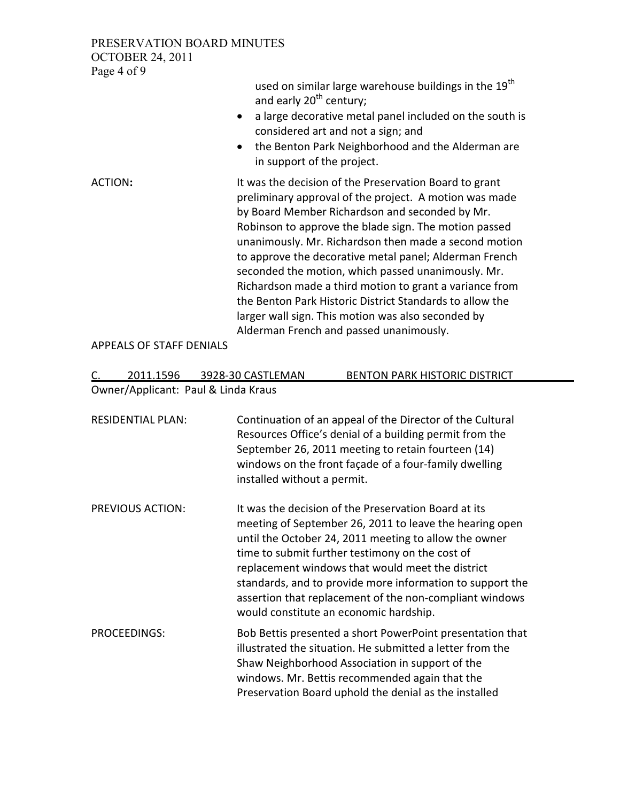PRESERVATION BOARD MINUTES OCTOBER 24, 2011 Page 4 of 9

> used on similar large warehouse buildings in the  $19<sup>th</sup>$ and early  $20<sup>th</sup>$  century;

- a large decorative metal panel included on the south is considered art and not a sign; and
- the Benton Park Neighborhood and the Alderman are in support of the project.

ACTION: It was the decision of the Preservation Board to grant preliminary approval of the project. A motion was made by Board Member Richardson and seconded by Mr. Robinson to approve the blade sign. The motion passed unanimously. Mr. Richardson then made a second motion to approve the decorative metal panel; Alderman French seconded the motion, which passed unanimously. Mr. Richardson made a third motion to grant a variance from the Benton Park Historic District Standards to allow the larger wall sign. This motion was also seconded by Alderman French and passed unanimously.

APPEALS OF STAFF DENIALS

| 2011.1596 | 3928-30 CASTLEMAN                   | BENTON PARK HISTORIC DISTRICT |
|-----------|-------------------------------------|-------------------------------|
|           | Owner/Applicant: Paul & Linda Kraus |                               |

RESIDENTIAL PLAN: Continuation of an appeal of the Director of the Cultural Resources Office's denial of a building permit from the September 26, 2011 meeting to retain fourteen (14) windows on the front façade of a four-family dwelling installed without a permit.

- PREVIOUS ACTION: It was the decision of the Preservation Board at its meeting of September 26, 2011 to leave the hearing open until the October 24, 2011 meeting to allow the owner time to submit further testimony on the cost of replacement windows that would meet the district standards, and to provide more information to support the assertion that replacement of the non-compliant windows would constitute an economic hardship.
- PROCEEDINGS: Bob Bettis presented a short PowerPoint presentation that illustrated the situation. He submitted a letter from the Shaw Neighborhood Association in support of the windows. Mr. Bettis recommended again that the Preservation Board uphold the denial as the installed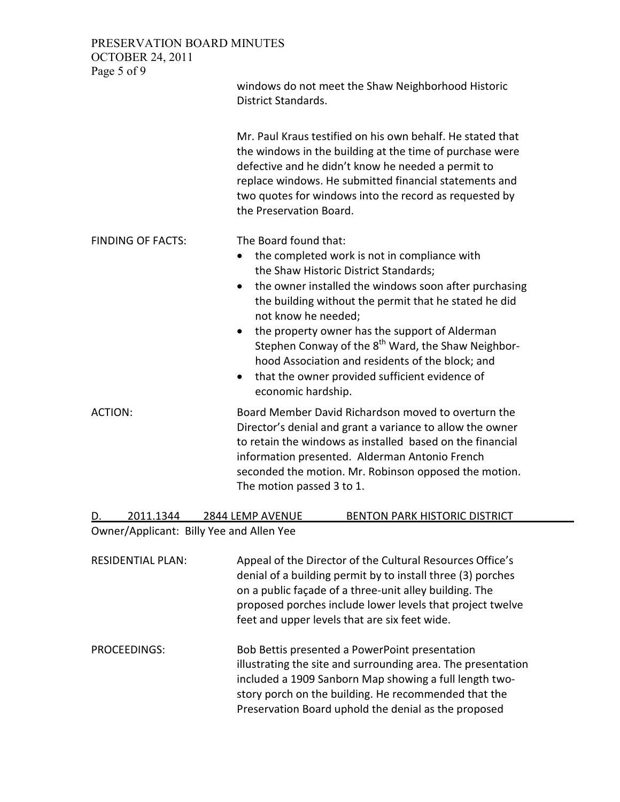PRESERVATION BOARD MINUTES OCTOBER 24, 2011

| Page 5 of 9                              | windows do not meet the Shaw Neighborhood Historic<br><b>District Standards.</b>                                                                                                                                                                                                                                                                                                                                                                                                                                                  |
|------------------------------------------|-----------------------------------------------------------------------------------------------------------------------------------------------------------------------------------------------------------------------------------------------------------------------------------------------------------------------------------------------------------------------------------------------------------------------------------------------------------------------------------------------------------------------------------|
|                                          | Mr. Paul Kraus testified on his own behalf. He stated that<br>the windows in the building at the time of purchase were<br>defective and he didn't know he needed a permit to<br>replace windows. He submitted financial statements and<br>two quotes for windows into the record as requested by<br>the Preservation Board.                                                                                                                                                                                                       |
| <b>FINDING OF FACTS:</b>                 | The Board found that:<br>the completed work is not in compliance with<br>the Shaw Historic District Standards;<br>the owner installed the windows soon after purchasing<br>$\bullet$<br>the building without the permit that he stated he did<br>not know he needed;<br>the property owner has the support of Alderman<br>Stephen Conway of the 8 <sup>th</sup> Ward, the Shaw Neighbor-<br>hood Association and residents of the block; and<br>that the owner provided sufficient evidence of<br>$\bullet$<br>economic hardship. |
| <b>ACTION:</b>                           | Board Member David Richardson moved to overturn the<br>Director's denial and grant a variance to allow the owner<br>to retain the windows as installed based on the financial<br>information presented. Alderman Antonio French<br>seconded the motion. Mr. Robinson opposed the motion.<br>The motion passed 3 to 1.                                                                                                                                                                                                             |
| 2011.1344                                | 2844 LEMP AVENUE<br><b>BENTON PARK HISTORIC DISTRICT</b>                                                                                                                                                                                                                                                                                                                                                                                                                                                                          |
| Owner/Applicant: Billy Yee and Allen Yee |                                                                                                                                                                                                                                                                                                                                                                                                                                                                                                                                   |

RESIDENTIAL PLAN: Appeal of the Director of the Cultural Resources Office's denial of a building permit by to install three (3) porches on a public façade of a three-unit alley building. The proposed porches include lower levels that project twelve feet and upper levels that are six feet wide.

PROCEEDINGS: Bob Bettis presented a PowerPoint presentation illustrating the site and surrounding area. The presentation included a 1909 Sanborn Map showing a full length twostory porch on the building. He recommended that the Preservation Board uphold the denial as the proposed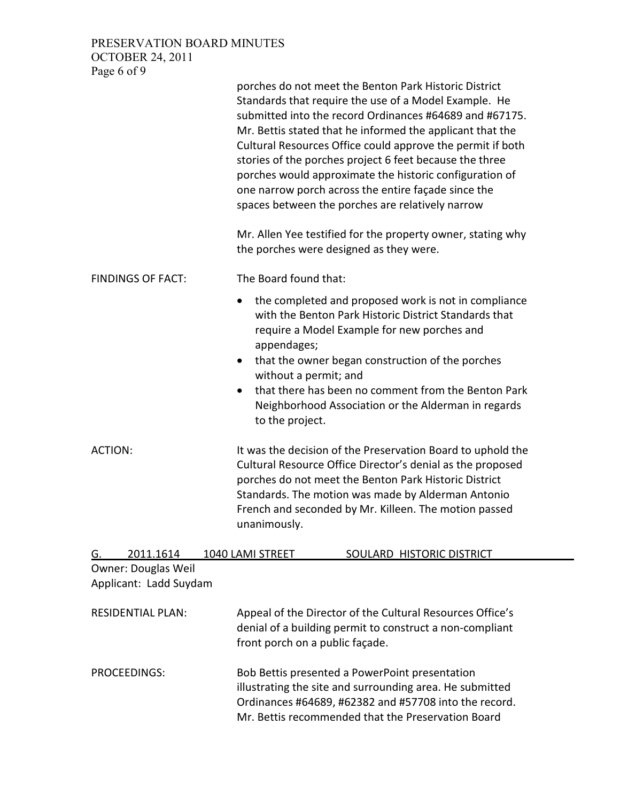PRESERVATION BOARD MINUTES OCTOBER 24, 2011 Page 6 of 9

|                                               | porches do not meet the Benton Park Historic District<br>Standards that require the use of a Model Example. He<br>submitted into the record Ordinances #64689 and #67175.<br>Mr. Bettis stated that he informed the applicant that the<br>Cultural Resources Office could approve the permit if both<br>stories of the porches project 6 feet because the three<br>porches would approximate the historic configuration of<br>one narrow porch across the entire façade since the<br>spaces between the porches are relatively narrow |
|-----------------------------------------------|---------------------------------------------------------------------------------------------------------------------------------------------------------------------------------------------------------------------------------------------------------------------------------------------------------------------------------------------------------------------------------------------------------------------------------------------------------------------------------------------------------------------------------------|
|                                               | Mr. Allen Yee testified for the property owner, stating why<br>the porches were designed as they were.                                                                                                                                                                                                                                                                                                                                                                                                                                |
| <b>FINDINGS OF FACT:</b>                      | The Board found that:                                                                                                                                                                                                                                                                                                                                                                                                                                                                                                                 |
|                                               | the completed and proposed work is not in compliance<br>٠<br>with the Benton Park Historic District Standards that<br>require a Model Example for new porches and<br>appendages;<br>that the owner began construction of the porches<br>$\bullet$<br>without a permit; and<br>that there has been no comment from the Benton Park<br>Neighborhood Association or the Alderman in regards<br>to the project.                                                                                                                           |
| ACTION:                                       | It was the decision of the Preservation Board to uphold the<br>Cultural Resource Office Director's denial as the proposed<br>porches do not meet the Benton Park Historic District<br>Standards. The motion was made by Alderman Antonio<br>French and seconded by Mr. Killeen. The motion passed<br>unanimously.                                                                                                                                                                                                                     |
| 2011.1614<br>G.<br><b>Owner: Douglas Weil</b> | 1040 LAMI STREET<br>SOULARD HISTORIC DISTRICT                                                                                                                                                                                                                                                                                                                                                                                                                                                                                         |
| Applicant: Ladd Suydam                        |                                                                                                                                                                                                                                                                                                                                                                                                                                                                                                                                       |
| <b>RESIDENTIAL PLAN:</b>                      | Appeal of the Director of the Cultural Resources Office's<br>denial of a building permit to construct a non-compliant<br>front porch on a public façade.                                                                                                                                                                                                                                                                                                                                                                              |
| <b>PROCEEDINGS:</b>                           | Bob Bettis presented a PowerPoint presentation<br>illustrating the site and surrounding area. He submitted<br>Ordinances #64689, #62382 and #57708 into the record.<br>Mr. Bettis recommended that the Preservation Board                                                                                                                                                                                                                                                                                                             |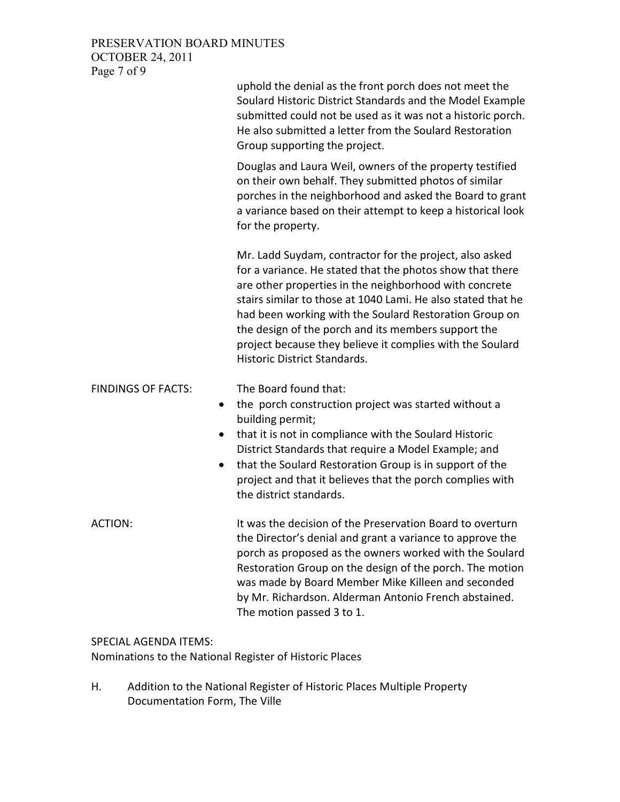### PRESERVATION BOARD MINUTES OCTOBER 24, 2011 Page 7 of 9

|                                                                  | uphold the denial as the front porch does not meet the<br>Soulard Historic District Standards and the Model Example<br>submitted could not be used as it was not a historic porch.<br>He also submitted a letter from the Soulard Restoration<br>Group supporting the project.                                                                                                                                                                                      |
|------------------------------------------------------------------|---------------------------------------------------------------------------------------------------------------------------------------------------------------------------------------------------------------------------------------------------------------------------------------------------------------------------------------------------------------------------------------------------------------------------------------------------------------------|
|                                                                  | Douglas and Laura Weil, owners of the property testified<br>on their own behalf. They submitted photos of similar<br>porches in the neighborhood and asked the Board to grant<br>a variance based on their attempt to keep a historical look<br>for the property.                                                                                                                                                                                                   |
|                                                                  | Mr. Ladd Suydam, contractor for the project, also asked<br>for a variance. He stated that the photos show that there<br>are other properties in the neighborhood with concrete<br>stairs similar to those at 1040 Lami. He also stated that he<br>had been working with the Soulard Restoration Group on<br>the design of the porch and its members support the<br>project because they believe it complies with the Soulard<br><b>Historic District Standards.</b> |
| <b>FINDINGS OF FACTS:</b><br>$\bullet$<br>$\bullet$<br>$\bullet$ | The Board found that:<br>the porch construction project was started without a<br>building permit;<br>that it is not in compliance with the Soulard Historic<br>District Standards that require a Model Example; and<br>that the Soulard Restoration Group is in support of the<br>project and that it believes that the porch complies with<br>the district standards.                                                                                              |
| <b>ACTION:</b>                                                   | It was the decision of the Preservation Board to overturn<br>the Director's denial and grant a variance to approve the<br>porch as proposed as the owners worked with the Soulard<br>Restoration Group on the design of the porch. The motion<br>was made by Board Member Mike Killeen and seconded<br>by Mr. Richardson. Alderman Antonio French abstained.<br>The motion passed 3 to 1.                                                                           |

### SPECIAL AGENDA ITEMS:

Nominations to the National Register of Historic Places

H. Addition to the National Register of Historic Places Multiple Property Documentation Form, The Ville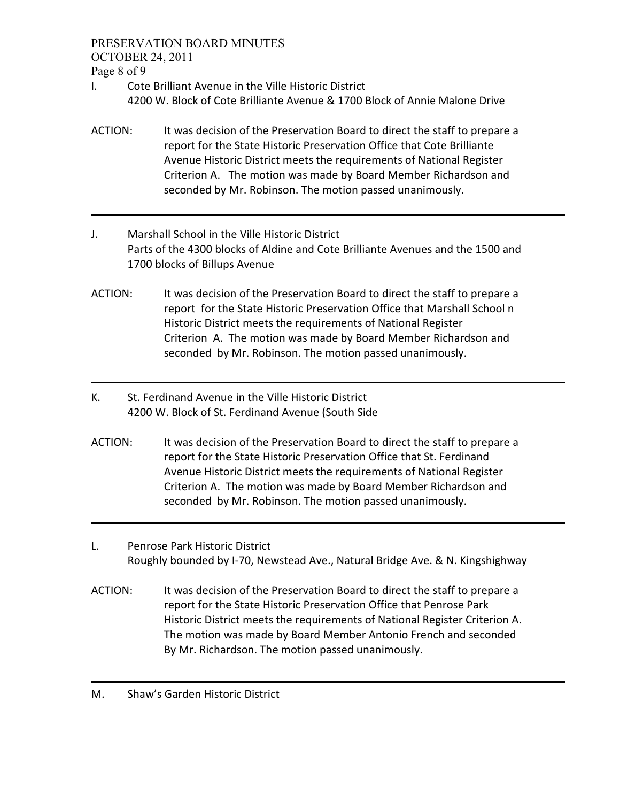PRESERVATION BOARD MINUTES

OCTOBER 24, 2011

Page 8 of 9

- I. Cote Brilliant Avenue in the Ville Historic District 4200 W. Block of Cote Brilliante Avenue & 1700 Block of Annie Malone Drive
- ACTION: It was decision of the Preservation Board to direct the staff to prepare a report for the State Historic Preservation Office that Cote Brilliante Avenue Historic District meets the requirements of National Register Criterion A. The motion was made by Board Member Richardson and seconded by Mr. Robinson. The motion passed unanimously.
- J. Marshall School in the Ville Historic District Parts of the 4300 blocks of Aldine and Cote Brilliante Avenues and the 1500 and 1700 blocks of Billups Avenue
- ACTION: It was decision of the Preservation Board to direct the staff to prepare a report for the State Historic Preservation Office that Marshall School n Historic District meets the requirements of National Register Criterion A. The motion was made by Board Member Richardson and seconded by Mr. Robinson. The motion passed unanimously.
- K. St. Ferdinand Avenue in the Ville Historic District 4200 W. Block of St. Ferdinand Avenue (South Side
- ACTION: It was decision of the Preservation Board to direct the staff to prepare a report for the State Historic Preservation Office that St. Ferdinand Avenue Historic District meets the requirements of National Register Criterion A. The motion was made by Board Member Richardson and seconded by Mr. Robinson. The motion passed unanimously.
- L. Penrose Park Historic District Roughly bounded by I-70, Newstead Ave., Natural Bridge Ave. & N. Kingshighway
- ACTION: It was decision of the Preservation Board to direct the staff to prepare a report for the State Historic Preservation Office that Penrose Park Historic District meets the requirements of National Register Criterion A. The motion was made by Board Member Antonio French and seconded By Mr. Richardson. The motion passed unanimously.